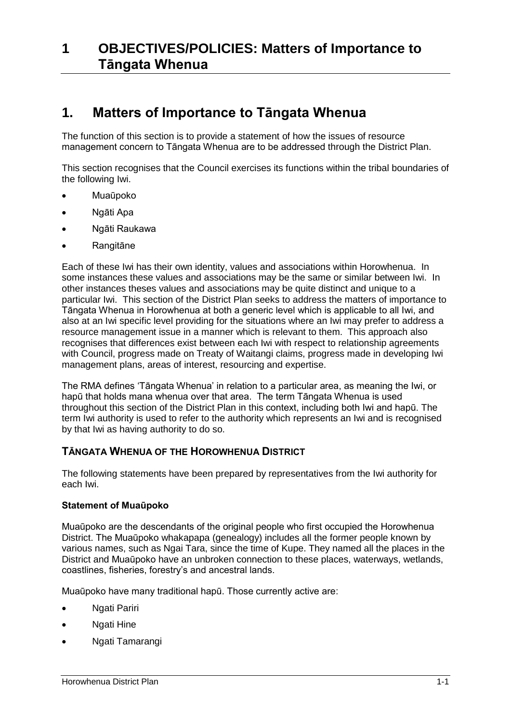## **1. Matters of Importance to Tāngata Whenua**

The function of this section is to provide a statement of how the issues of resource management concern to Tāngata Whenua are to be addressed through the District Plan.

This section recognises that the Council exercises its functions within the tribal boundaries of the following Iwi.

- Muaūpoko
- Ngāti Apa
- Ngāti Raukawa
- Rangitāne

Each of these Iwi has their own identity, values and associations within Horowhenua. In some instances these values and associations may be the same or similar between Iwi. In other instances theses values and associations may be quite distinct and unique to a particular Iwi. This section of the District Plan seeks to address the matters of importance to Tāngata Whenua in Horowhenua at both a generic level which is applicable to all Iwi, and also at an Iwi specific level providing for the situations where an Iwi may prefer to address a resource management issue in a manner which is relevant to them. This approach also recognises that differences exist between each Iwi with respect to relationship agreements with Council, progress made on Treaty of Waitangi claims, progress made in developing Iwi management plans, areas of interest, resourcing and expertise.

The RMA defines 'Tāngata Whenua' in relation to a particular area, as meaning the Iwi, or hapū that holds mana whenua over that area. The term Tāngata Whenua is used throughout this section of the District Plan in this context, including both Iwi and hapū. The term Iwi authority is used to refer to the authority which represents an Iwi and is recognised by that Iwi as having authority to do so.

#### **TĀNGATA WHENUA OF THE HOROWHENUA DISTRICT**

The following statements have been prepared by representatives from the Iwi authority for each Iwi.

#### **Statement of Muaūpoko**

Muaūpoko are the descendants of the original people who first occupied the Horowhenua District. The Muaūpoko whakapapa (genealogy) includes all the former people known by various names, such as Ngai Tara, since the time of Kupe. They named all the places in the District and Muaūpoko have an unbroken connection to these places, waterways, wetlands, coastlines, fisheries, forestry's and ancestral lands.

Muaūpoko have many traditional hapū. Those currently active are:

- Ngati Pariri
- Ngati Hine
- Ngati Tamarangi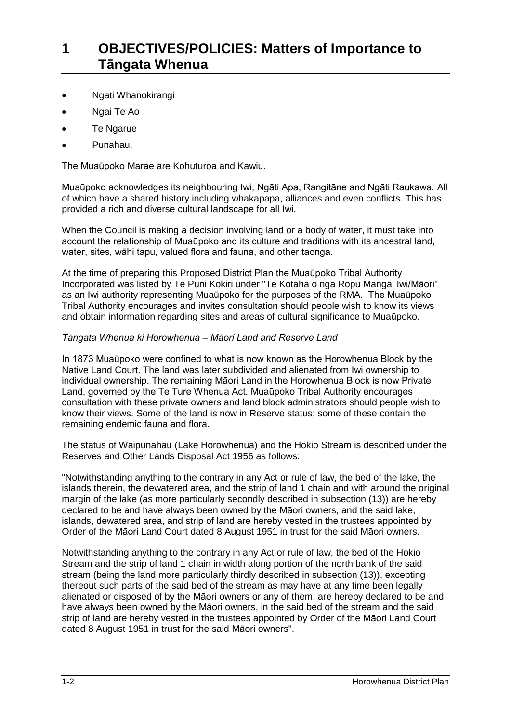- Ngati Whanokirangi
- Ngai Te Ao
- Te Ngarue
- Punahau.

The Muaūpoko Marae are Kohuturoa and Kawiu.

Muaūpoko acknowledges its neighbouring Iwi, Ngāti Apa, Rangitāne and Ngāti Raukawa. All of which have a shared history including whakapapa, alliances and even conflicts. This has provided a rich and diverse cultural landscape for all Iwi.

When the Council is making a decision involving land or a body of water, it must take into account the relationship of Muaūpoko and its culture and traditions with its ancestral land, water, sites, wāhi tapu, valued flora and fauna, and other taonga.

At the time of preparing this Proposed District Plan the Muaūpoko Tribal Authority Incorporated was listed by Te Puni Kokiri under "Te Kotaha o nga Ropu Mangai Iwi/Māori" as an Iwi authority representing Muaūpoko for the purposes of the RMA. The Muaūpoko Tribal Authority encourages and invites consultation should people wish to know its views and obtain information regarding sites and areas of cultural significance to Muaūpoko.

#### *Tāngata Whenua ki Horowhenua – Māori Land and Reserve Land*

In 1873 Muaūpoko were confined to what is now known as the Horowhenua Block by the Native Land Court. The land was later subdivided and alienated from Iwi ownership to individual ownership. The remaining Māori Land in the Horowhenua Block is now Private Land, governed by the Te Ture Whenua Act. Muaūpoko Tribal Authority encourages consultation with these private owners and land block administrators should people wish to know their views. Some of the land is now in Reserve status; some of these contain the remaining endemic fauna and flora.

The status of Waipunahau (Lake Horowhenua) and the Hokio Stream is described under the Reserves and Other Lands Disposal Act 1956 as follows:

"Notwithstanding anything to the contrary in any Act or rule of law, the bed of the lake, the islands therein, the dewatered area, and the strip of land 1 chain and with around the original margin of the lake (as more particularly secondly described in subsection (13)) are hereby declared to be and have always been owned by the Māori owners, and the said lake, islands, dewatered area, and strip of land are hereby vested in the trustees appointed by Order of the Māori Land Court dated 8 August 1951 in trust for the said Māori owners.

Notwithstanding anything to the contrary in any Act or rule of law, the bed of the Hokio Stream and the strip of land 1 chain in width along portion of the north bank of the said stream (being the land more particularly thirdly described in subsection (13)), excepting thereout such parts of the said bed of the stream as may have at any time been legally alienated or disposed of by the Māori owners or any of them, are hereby declared to be and have always been owned by the Māori owners, in the said bed of the stream and the said strip of land are hereby vested in the trustees appointed by Order of the Māori Land Court dated 8 August 1951 in trust for the said Māori owners".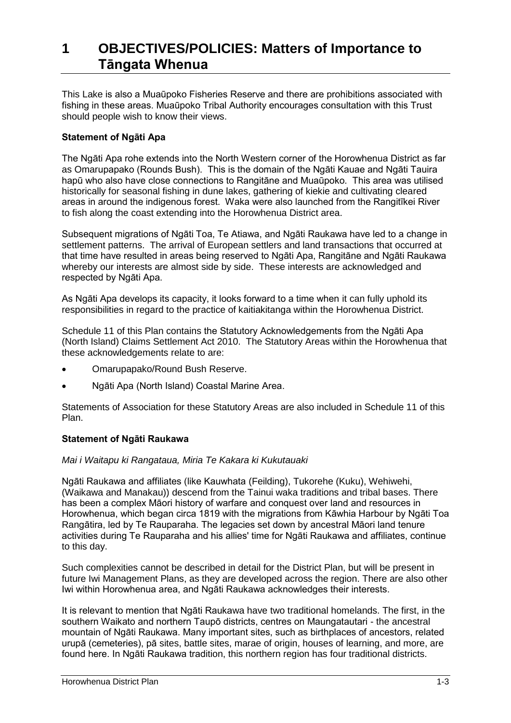This Lake is also a Muaūpoko Fisheries Reserve and there are prohibitions associated with fishing in these areas. Muaūpoko Tribal Authority encourages consultation with this Trust should people wish to know their views.

#### **Statement of Ngāti Apa**

The Ngāti Apa rohe extends into the North Western corner of the Horowhenua District as far as Omarupapako (Rounds Bush). This is the domain of the Ngāti Kauae and Ngāti Tauira hapū who also have close connections to Rangitāne and Muaūpoko. This area was utilised historically for seasonal fishing in dune lakes, gathering of kiekie and cultivating cleared areas in around the indigenous forest. Waka were also launched from the Rangitīkei River to fish along the coast extending into the Horowhenua District area.

Subsequent migrations of Ngāti Toa, Te Atiawa, and Ngāti Raukawa have led to a change in settlement patterns. The arrival of European settlers and land transactions that occurred at that time have resulted in areas being reserved to Ngāti Apa, Rangitāne and Ngāti Raukawa whereby our interests are almost side by side. These interests are acknowledged and respected by Ngāti Apa.

As Ngāti Apa develops its capacity, it looks forward to a time when it can fully uphold its responsibilities in regard to the practice of kaitiakitanga within the Horowhenua District.

Schedule 11 of this Plan contains the Statutory Acknowledgements from the Ngāti Apa (North Island) Claims Settlement Act 2010. The Statutory Areas within the Horowhenua that these acknowledgements relate to are:

- Omarupapako/Round Bush Reserve.
- Ngāti Apa (North Island) Coastal Marine Area.

Statements of Association for these Statutory Areas are also included in Schedule 11 of this Plan.

#### **Statement of Ngāti Raukawa**

#### *Mai i Waitapu ki Rangataua, Miria Te Kakara ki Kukutauaki*

Ngāti Raukawa and affiliates (like Kauwhata (Feilding), Tukorehe (Kuku), Wehiwehi, (Waikawa and Manakau)) descend from the Tainui waka traditions and tribal bases. There has been a complex Māori history of warfare and conquest over land and resources in Horowhenua, which began circa 1819 with the migrations from Kāwhia Harbour by Ngāti Toa Rangātira, led by Te Rauparaha. The legacies set down by ancestral Māori land tenure activities during Te Rauparaha and his allies' time for Ngāti Raukawa and affiliates, continue to this day.

Such complexities cannot be described in detail for the District Plan, but will be present in future Iwi Management Plans, as they are developed across the region. There are also other Iwi within Horowhenua area, and Ngāti Raukawa acknowledges their interests.

It is relevant to mention that Ngāti Raukawa have two traditional homelands. The first, in the southern Waikato and northern Taupō districts, centres on Maungatautari - the ancestral mountain of Ngāti Raukawa. Many important sites, such as birthplaces of ancestors, related urupā (cemeteries), [pā](http://www.teara.govt.nz/glossary%23p%C4%81) sites, battle sites, marae of origin, houses of learning, and more, are found here. In Ngāti Raukawa tradition, this northern region has four traditional districts.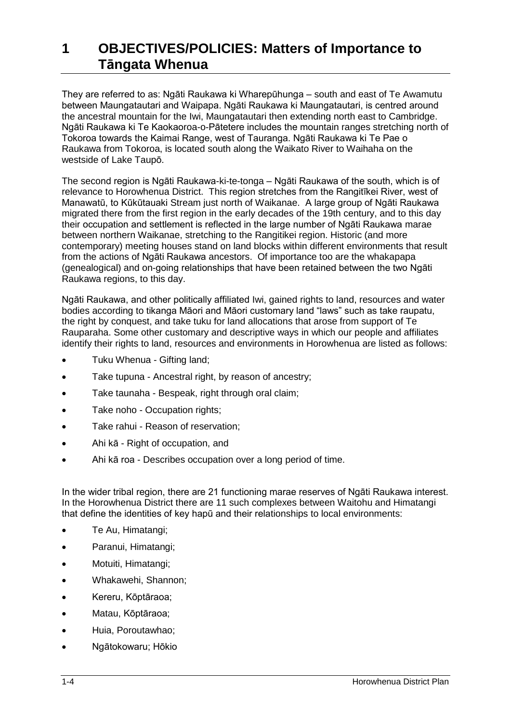They are referred to as: Ngāti Raukawa ki Wharepūhunga – south and east of Te Awamutu between Maungatautari and Waipapa. Ngāti Raukawa ki Maungatautari, is centred around the ancestral mountain for the Iwi, Maungatautari then extending north east to Cambridge. Ngāti Raukawa ki Te Kaokaoroa-o-Pātetere includes the mountain ranges stretching north of Tokoroa towards the Kaimai Range, west of Tauranga. Ngāti Raukawa ki Te Pae o Raukawa from Tokoroa, is located south along the Waikato River to Waihaha on the westside of Lake Taupō.

The second region is Ngāti Raukawa-ki-te-tonga – Ngāti Raukawa of the south, which is of relevance to Horowhenua District. This region stretches from the Rangitīkei River, west of Manawatū, to Kūkūtauaki Stream just north of Waikanae. A large group of Ngāti Raukawa migrated there from the first region in the early decades of the 19th century, and to this day their occupation and settlement is reflected in the large number of Ngāti Raukawa [marae](http://www.teara.govt.nz/glossary#marae) between northern Waikanae, stretching to the Rangitikei region. Historic (and more contemporary) meeting houses stand on land blocks within different environments that result from the actions of Ngāti Raukawa ancestors. Of importance too are the whakapapa (genealogical) and on-going relationships that have been retained between the two Ngāti Raukawa regions, to this day.

Ngāti Raukawa, and other politically affiliated Iwi, gained rights to land, resources and water bodies according to tikanga Māori and Māori customary land "laws" such as take raupatu, the right by conquest, and take tuku for land allocations that arose from support of Te Rauparaha. Some other customary and descriptive ways in which our people and affiliates identify their rights to land, resources and environments in Horowhenua are listed as follows:

- Tuku Whenua Gifting land;
- Take tupuna Ancestral right, by reason of ancestry;
- Take taunaha Bespeak, right through oral claim;
- Take noho Occupation rights;
- Take rahui Reason of reservation;
- Ahi kā Right of occupation, and
- Ahi kā roa Describes occupation over a long period of time.

In the wider tribal region, there are 21 functioning marae reserves of Ngāti Raukawa interest. In the Horowhenua District there are 11 such complexes between Waitohu and Himatangi that define the identities of key hapū and their relationships to local environments:

- Te Au, Himatangi;
- Paranui, Himatangi;
- Motuiti, Himatangi;
- Whakawehi, Shannon;
- Kereru, Kōptāraoa;
- Matau, Kōptāraoa;
- Huia, Poroutawhao;
- Ngātokowaru; Hōkio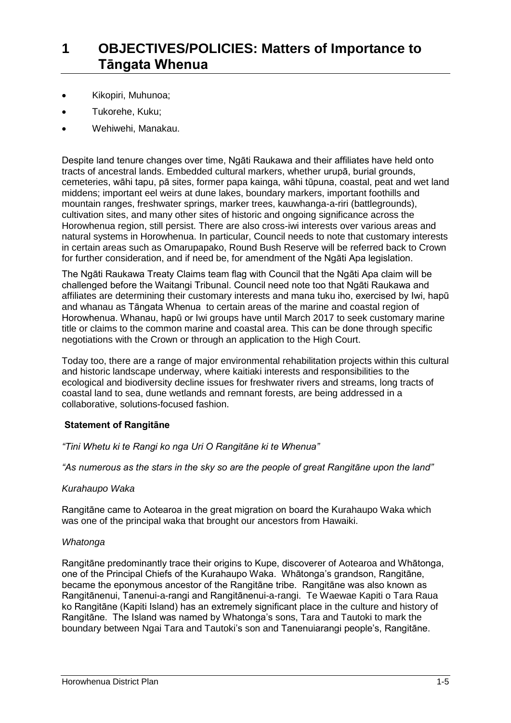- Kikopiri, Muhunoa;
- Tukorehe, Kuku;
- Wehiwehi, Manakau.

Despite land tenure changes over time, Ngāti Raukawa and their affiliates have held onto tracts of ancestral lands. Embedded cultural markers, whether urupā, burial grounds, cemeteries, wāhi tapu, [pā](http://www.teara.govt.nz/glossary%23p%C4%81) sites, former papa kainga, wāhi tūpuna, coastal, peat and wet land middens; important eel weirs at dune lakes, boundary markers, important foothills and mountain ranges, freshwater springs, marker trees, kauwhanga-a-riri (battlegrounds), cultivation sites, and many other sites of historic and ongoing significance across the Horowhenua region, still persist. There are also cross-iwi interests over various areas and natural systems in Horowhenua. In particular, Council needs to note that customary interests in certain areas such as Omarupapako, Round Bush Reserve will be referred back to Crown for further consideration, and if need be, for amendment of the Ngāti Apa legislation.

The Ngāti Raukawa Treaty Claims team flag with Council that the Ngāti Apa claim will be challenged before the Waitangi Tribunal. Council need note too that Ngāti Raukawa and affiliates are determining their customary interests and mana tuku iho, exercised by Iwi, hapū and whanau as Tāngata Whenua to certain areas of the marine and coastal region of Horowhenua. Whanau, hapū or Iwi groups have until March 2017 to seek customary marine title or claims to the common marine and coastal area. This can be done through specific negotiations with the Crown or through an application to the High Court.

Today too, there are a range of major environmental rehabilitation projects within this cultural and historic landscape underway, where kaitiaki interests and responsibilities to the ecological and biodiversity decline issues for freshwater rivers and streams, long tracts of coastal land to sea, dune wetlands and remnant forests, are being addressed in a collaborative, solutions-focused fashion.

#### **Statement of Rangitāne**

#### *"Tini Whetu ki te Rangi ko nga Uri O Rangitāne ki te Whenua"*

*"As numerous as the stars in the sky so are the people of great Rangitāne upon the land"*

#### *Kurahaupo Waka*

Rangitāne came to Aotearoa in the great migration on board the Kurahaupo Waka which was one of the principal waka that brought our ancestors from Hawaiki.

#### *Whatonga*

Rangitāne predominantly trace their origins to Kupe, discoverer of Aotearoa and Whātonga, one of the Principal Chiefs of the Kurahaupo Waka. Whātonga's grandson, Rangitāne, became the eponymous ancestor of the Rangitāne tribe. Rangitāne was also known as Rangitānenui, Tanenui-a-rangi and Rangitānenui-a-rangi. Te Waewae Kapiti o Tara Raua ko Rangitāne (Kapiti Island) has an extremely significant place in the culture and history of Rangitāne. The Island was named by Whatonga's sons, Tara and Tautoki to mark the boundary between Ngai Tara and Tautoki's son and Tanenuiarangi people's, Rangitāne.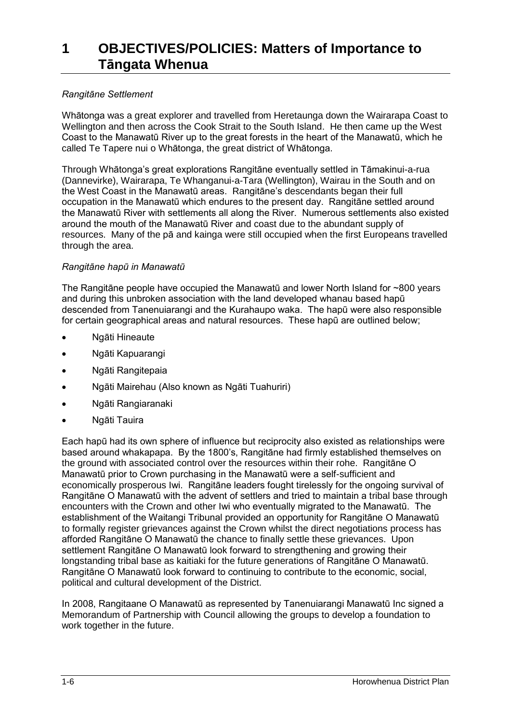#### *Rangitāne Settlement*

Whātonga was a great explorer and travelled from Heretaunga down the Wairarapa Coast to Wellington and then across the Cook Strait to the South Island. He then came up the West Coast to the Manawatū River up to the great forests in the heart of the Manawatū, which he called Te Tapere nui o Whātonga, the great district of Whātonga.

Through Whātonga's great explorations Rangitāne eventually settled in Tāmakinui-a-rua (Dannevirke), Wairarapa, Te Whanganui-a-Tara (Wellington), Wairau in the South and on the West Coast in the Manawatū areas. Rangitāne's descendants began their full occupation in the Manawatū which endures to the present day. Rangitāne settled around the Manawatū River with settlements all along the River. Numerous settlements also existed around the mouth of the Manawatū River and coast due to the abundant supply of resources. Many of the pā and kainga were still occupied when the first Europeans travelled through the area.

#### *Rangitāne hapū in Manawatū*

The Rangitane people have occupied the Manawatū and lower North Island for  $\sim$ 800 years and during this unbroken association with the land developed whanau based hapū descended from Tanenuiarangi and the Kurahaupo waka. The hapū were also responsible for certain geographical areas and natural resources. These hapū are outlined below;

- Ngāti Hineaute
- Ngāti Kapuarangi
- Ngāti Rangitepaia
- Ngāti Mairehau (Also known as Ngāti Tuahuriri)
- Ngāti Rangiaranaki
- Ngāti Tauira

Each hapū had its own sphere of influence but reciprocity also existed as relationships were based around whakapapa. By the 1800's, Rangitāne had firmly established themselves on the ground with associated control over the resources within their rohe. Rangitāne O Manawatū prior to Crown purchasing in the Manawatū were a self-sufficient and economically prosperous Iwi. Rangitāne leaders fought tirelessly for the ongoing survival of Rangitāne O Manawatū with the advent of settlers and tried to maintain a tribal base through encounters with the Crown and other Iwi who eventually migrated to the Manawatū. The establishment of the Waitangi Tribunal provided an opportunity for Rangitāne O Manawatū to formally register grievances against the Crown whilst the direct negotiations process has afforded Rangitāne O Manawatū the chance to finally settle these grievances. Upon settlement Rangitāne O Manawatū look forward to strengthening and growing their longstanding tribal base as kaitiaki for the future generations of Rangitāne O Manawatū. Rangitāne O Manawatū look forward to continuing to contribute to the economic, social, political and cultural development of the District.

In 2008, Rangitaane O Manawatū as represented by Tanenuiarangi Manawatū Inc signed a Memorandum of Partnership with Council allowing the groups to develop a foundation to work together in the future.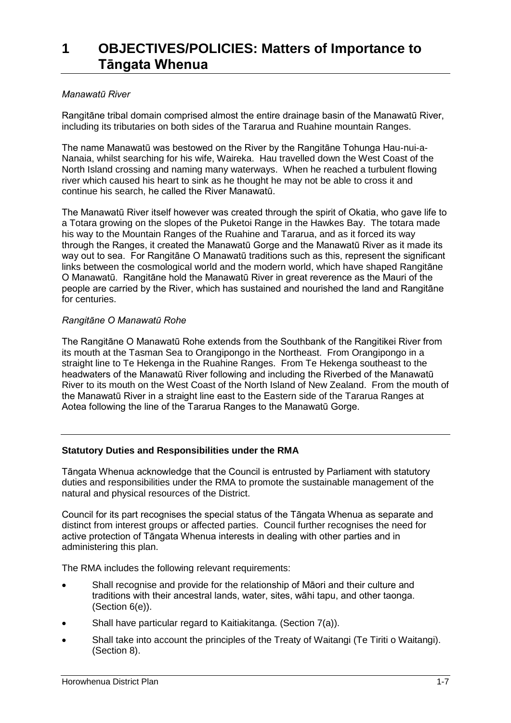#### *Manawatū River*

Rangitāne tribal domain comprised almost the entire drainage basin of the Manawatū River, including its tributaries on both sides of the Tararua and Ruahine mountain Ranges.

The name Manawatū was bestowed on the River by the Rangitāne Tohunga Hau-nui-a-Nanaia, whilst searching for his wife, Waireka. Hau travelled down the West Coast of the North Island crossing and naming many waterways. When he reached a turbulent flowing river which caused his heart to sink as he thought he may not be able to cross it and continue his search, he called the River Manawatū.

The Manawatū River itself however was created through the spirit of Okatia, who gave life to a Totara growing on the slopes of the Puketoi Range in the Hawkes Bay. The totara made his way to the Mountain Ranges of the Ruahine and Tararua, and as it forced its way through the Ranges, it created the Manawatū Gorge and the Manawatū River as it made its way out to sea. For Rangitāne O Manawatū traditions such as this, represent the significant links between the cosmological world and the modern world, which have shaped Rangitāne O Manawatū. Rangitāne hold the Manawatū River in great reverence as the Mauri of the people are carried by the River, which has sustained and nourished the land and Rangitāne for centuries.

#### *Rangitāne O Manawatū Rohe*

The Rangitāne O Manawatū Rohe extends from the Southbank of the Rangitikei River from its mouth at the Tasman Sea to Orangipongo in the Northeast. From Orangipongo in a straight line to Te Hekenga in the Ruahine Ranges. From Te Hekenga southeast to the headwaters of the Manawatū River following and including the Riverbed of the Manawatū River to its mouth on the West Coast of the North Island of New Zealand. From the mouth of the Manawatū River in a straight line east to the Eastern side of the Tararua Ranges at Aotea following the line of the Tararua Ranges to the Manawatū Gorge.

#### **Statutory Duties and Responsibilities under the RMA**

Tāngata Whenua acknowledge that the Council is entrusted by Parliament with statutory duties and responsibilities under the RMA to promote the sustainable management of the natural and physical resources of the District.

Council for its part recognises the special status of the Tāngata Whenua as separate and distinct from interest groups or affected parties. Council further recognises the need for active protection of Tāngata Whenua interests in dealing with other parties and in administering this plan.

The RMA includes the following relevant requirements:

- Shall recognise and provide for the relationship of Māori and their culture and traditions with their ancestral lands, water, sites, wāhi tapu, and other taonga. (Section 6(e)).
- Shall have particular regard to Kaitiakitanga. (Section 7(a)).
- Shall take into account the principles of the Treaty of Waitangi (Te Tiriti o Waitangi). (Section 8).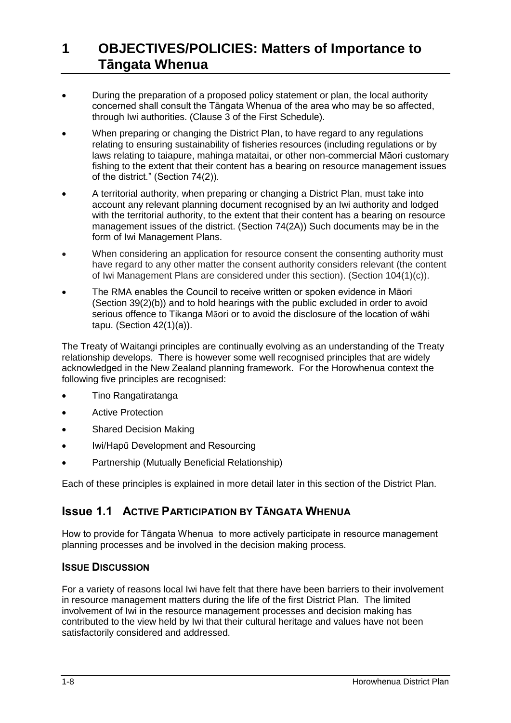- During the preparation of a proposed policy statement or plan, the local authority concerned shall consult the Tāngata Whenua of the area who may be so affected, through Iwi authorities. (Clause 3 of the First Schedule).
- When preparing or changing the District Plan, to have regard to any regulations relating to ensuring sustainability of fisheries resources (including regulations or by laws relating to taiapure, mahinga mataitai, or other non-commercial Māori customary fishing to the extent that their content has a bearing on resource management issues of the district." (Section 74(2)).
- A territorial authority, when preparing or changing a District Plan, must take into account any relevant planning document recognised by an Iwi authority and lodged with the territorial authority, to the extent that their content has a bearing on resource management issues of the district. (Section 74(2A)) Such documents may be in the form of Iwi Management Plans.
- When considering an application for resource consent the consenting authority must have regard to any other matter the consent authority considers relevant (the content of Iwi Management Plans are considered under this section). (Section 104(1)(c)).
- The RMA enables the Council to receive written or spoken evidence in Māori (Section 39(2)(b)) and to hold hearings with the public excluded in order to avoid serious offence to Tikanga Māori or to avoid the disclosure of the location of wāhi tapu. (Section 42(1)(a)).

The Treaty of Waitangi principles are continually evolving as an understanding of the Treaty relationship develops. There is however some well recognised principles that are widely acknowledged in the New Zealand planning framework. For the Horowhenua context the following five principles are recognised:

- Tino Rangatiratanga
- Active Protection
- Shared Decision Making
- Iwi/Hapū Development and Resourcing
- Partnership (Mutually Beneficial Relationship)

Each of these principles is explained in more detail later in this section of the District Plan.

### **Issue 1.1 ACTIVE PARTICIPATION BY TĀNGATA WHENUA**

How to provide for Tāngata Whenua to more actively participate in resource management planning processes and be involved in the decision making process.

### **ISSUE DISCUSSION**

For a variety of reasons local Iwi have felt that there have been barriers to their involvement in resource management matters during the life of the first District Plan. The limited involvement of Iwi in the resource management processes and decision making has contributed to the view held by Iwi that their cultural heritage and values have not been satisfactorily considered and addressed.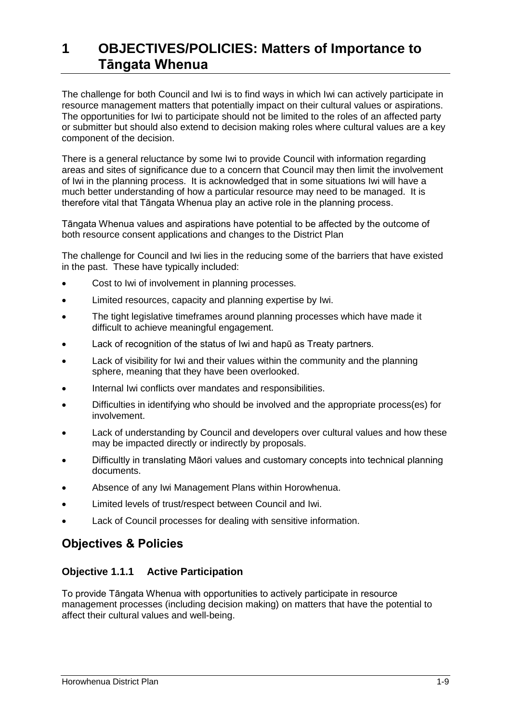The challenge for both Council and Iwi is to find ways in which Iwi can actively participate in resource management matters that potentially impact on their cultural values or aspirations. The opportunities for Iwi to participate should not be limited to the roles of an affected party or submitter but should also extend to decision making roles where cultural values are a key component of the decision.

There is a general reluctance by some Iwi to provide Council with information regarding areas and sites of significance due to a concern that Council may then limit the involvement of Iwi in the planning process. It is acknowledged that in some situations Iwi will have a much better understanding of how a particular resource may need to be managed. It is therefore vital that Tāngata Whenua play an active role in the planning process.

Tāngata Whenua values and aspirations have potential to be affected by the outcome of both resource consent applications and changes to the District Plan

The challenge for Council and Iwi lies in the reducing some of the barriers that have existed in the past. These have typically included:

- Cost to Iwi of involvement in planning processes.
- Limited resources, capacity and planning expertise by Iwi.
- The tight legislative timeframes around planning processes which have made it difficult to achieve meaningful engagement.
- Lack of recognition of the status of Iwi and hapū as Treaty partners.
- Lack of visibility for Iwi and their values within the community and the planning sphere, meaning that they have been overlooked.
- Internal Iwi conflicts over mandates and responsibilities.
- Difficulties in identifying who should be involved and the appropriate process(es) for involvement.
- Lack of understanding by Council and developers over cultural values and how these may be impacted directly or indirectly by proposals.
- Difficultly in translating Māori values and customary concepts into technical planning documents.
- Absence of any Iwi Management Plans within Horowhenua.
- Limited levels of trust/respect between Council and Iwi.
- Lack of Council processes for dealing with sensitive information.

### **Objectives & Policies**

#### **Objective 1.1.1 Active Participation**

To provide Tāngata Whenua with opportunities to actively participate in resource management processes (including decision making) on matters that have the potential to affect their cultural values and well-being.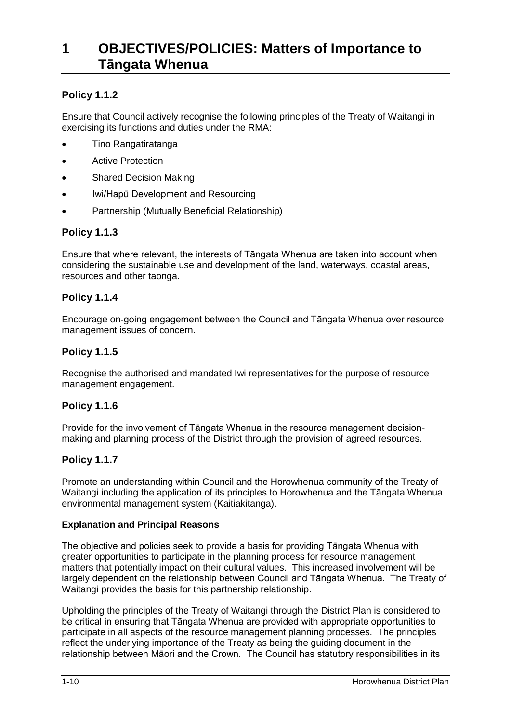### **Policy 1.1.2**

Ensure that Council actively recognise the following principles of the Treaty of Waitangi in exercising its functions and duties under the RMA:

- Tino Rangatiratanga
- Active Protection
- Shared Decision Making
- Iwi/Hapū Development and Resourcing
- Partnership (Mutually Beneficial Relationship)

### **Policy 1.1.3**

Ensure that where relevant, the interests of Tāngata Whenua are taken into account when considering the sustainable use and development of the land, waterways, coastal areas, resources and other taonga.

#### **Policy 1.1.4**

Encourage on-going engagement between the Council and Tāngata Whenua over resource management issues of concern.

#### **Policy 1.1.5**

Recognise the authorised and mandated Iwi representatives for the purpose of resource management engagement.

#### **Policy 1.1.6**

Provide for the involvement of Tāngata Whenua in the resource management decisionmaking and planning process of the District through the provision of agreed resources.

#### **Policy 1.1.7**

Promote an understanding within Council and the Horowhenua community of the Treaty of Waitangi including the application of its principles to Horowhenua and the Tāngata Whenua environmental management system (Kaitiakitanga).

#### **Explanation and Principal Reasons**

The objective and policies seek to provide a basis for providing Tāngata Whenua with greater opportunities to participate in the planning process for resource management matters that potentially impact on their cultural values. This increased involvement will be largely dependent on the relationship between Council and Tāngata Whenua. The Treaty of Waitangi provides the basis for this partnership relationship.

Upholding the principles of the Treaty of Waitangi through the District Plan is considered to be critical in ensuring that Tāngata Whenua are provided with appropriate opportunities to participate in all aspects of the resource management planning processes. The principles reflect the underlying importance of the Treaty as being the guiding document in the relationship between Māori and the Crown. The Council has statutory responsibilities in its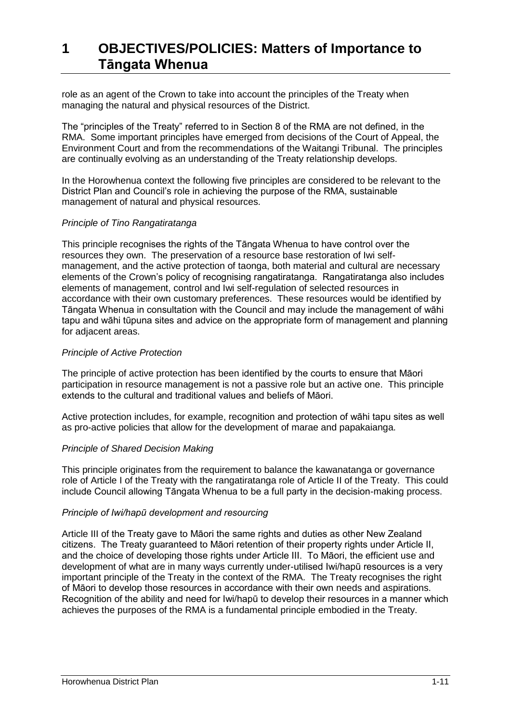role as an agent of the Crown to take into account the principles of the Treaty when managing the natural and physical resources of the District.

The "principles of the Treaty" referred to in Section 8 of the RMA are not defined, in the RMA. Some important principles have emerged from decisions of the Court of Appeal, the Environment Court and from the recommendations of the Waitangi Tribunal. The principles are continually evolving as an understanding of the Treaty relationship develops.

In the Horowhenua context the following five principles are considered to be relevant to the District Plan and Council's role in achieving the purpose of the RMA, sustainable management of natural and physical resources.

#### *Principle of Tino Rangatiratanga*

This principle recognises the rights of the Tāngata Whenua to have control over the resources they own. The preservation of a resource base restoration of Iwi selfmanagement, and the active protection of taonga, both material and cultural are necessary elements of the Crown's policy of recognising rangatiratanga. Rangatiratanga also includes elements of management, control and Iwi self-regulation of selected resources in accordance with their own customary preferences. These resources would be identified by Tāngata Whenua in consultation with the Council and may include the management of wāhi tapu and wāhi tūpuna sites and advice on the appropriate form of management and planning for adjacent areas.

#### *Principle of Active Protection*

The principle of active protection has been identified by the courts to ensure that Māori participation in resource management is not a passive role but an active one. This principle extends to the cultural and traditional values and beliefs of Māori.

Active protection includes, for example, recognition and protection of wāhi tapu sites as well as pro-active policies that allow for the development of marae and papakaianga.

#### *Principle of Shared Decision Making*

This principle originates from the requirement to balance the kawanatanga or governance role of Article I of the Treaty with the rangatiratanga role of Article II of the Treaty. This could include Council allowing Tāngata Whenua to be a full party in the decision-making process.

#### *Principle of Iwi/hapū development and resourcing*

Article III of the Treaty gave to Māori the same rights and duties as other New Zealand citizens. The Treaty guaranteed to Māori retention of their property rights under Article II, and the choice of developing those rights under Article III. To Māori, the efficient use and development of what are in many ways currently under-utilised Iwi/hapū resources is a very important principle of the Treaty in the context of the RMA. The Treaty recognises the right of Māori to develop those resources in accordance with their own needs and aspirations. Recognition of the ability and need for Iwi/hapū to develop their resources in a manner which achieves the purposes of the RMA is a fundamental principle embodied in the Treaty.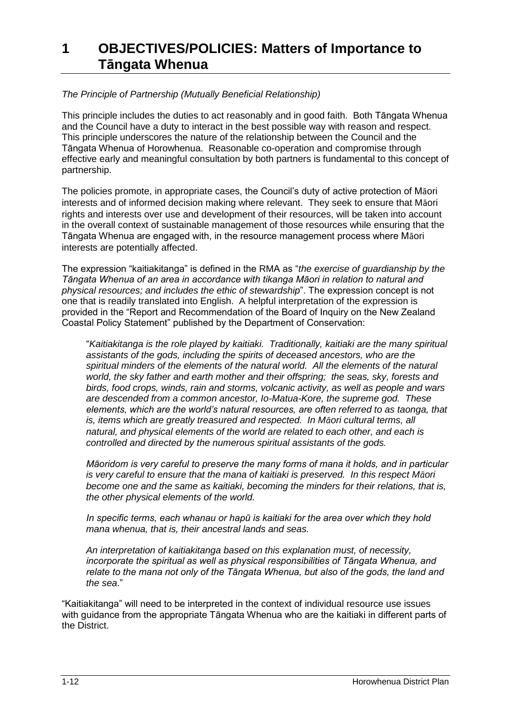#### *The Principle of Partnership (Mutually Beneficial Relationship)*

This principle includes the duties to act reasonably and in good faith. Both Tāngata Whenua and the Council have a duty to interact in the best possible way with reason and respect. This principle underscores the nature of the relationship between the Council and the Tāngata Whenua of Horowhenua. Reasonable co-operation and compromise through effective early and meaningful consultation by both partners is fundamental to this concept of partnership.

The policies promote, in appropriate cases, the Council's duty of active protection of Māori interests and of informed decision making where relevant. They seek to ensure that Māori rights and interests over use and development of their resources, will be taken into account in the overall context of sustainable management of those resources while ensuring that the Tāngata Whenua are engaged with, in the resource management process where Māori interests are potentially affected.

The expression "kaitiakitanga" is defined in the RMA as "*the exercise of guardianship by the Tāngata Whenua of an area in accordance with tikanga Māori in relation to natural and physical resources; and includes the ethic of stewardship*". The expression concept is not one that is readily translated into English. A helpful interpretation of the expression is provided in the "Report and Recommendation of the Board of Inquiry on the New Zealand Coastal Policy Statement" published by the Department of Conservation:

"*Kaitiakitanga is the role played by kaitiaki. Traditionally, kaitiaki are the many spiritual assistants of the gods, including the spirits of deceased ancestors, who are the spiritual minders of the elements of the natural world. All the elements of the natural world, the sky father and earth mother and their offspring; the seas, sky, forests and birds, food crops, winds, rain and storms, volcanic activity, as well as people and wars are descended from a common ancestor, Io-Matua-Kore, the supreme god. These elements, which are the world's natural resources, are often referred to as taonga, that is, items which are greatly treasured and respected. In Māori cultural terms, all natural, and physical elements of the world are related to each other, and each is controlled and directed by the numerous spiritual assistants of the gods.*

*Māoridom is very careful to preserve the many forms of mana it holds, and in particular is very careful to ensure that the mana of kaitiaki is preserved. In this respect Māori become one and the same as kaitiaki, becoming the minders for their relations, that is, the other physical elements of the world.*

*In specific terms, each whanau or hapū is kaitiaki for the area over which they hold mana whenua, that is, their ancestral lands and seas.*

*An interpretation of kaitiakitanga based on this explanation must, of necessity, incorporate the spiritual as well as physical responsibilities of Tāngata Whenua, and relate to the mana not only of the Tāngata Whenua, but also of the gods, the land and the sea*."

"Kaitiakitanga" will need to be interpreted in the context of individual resource use issues with guidance from the appropriate Tāngata Whenua who are the kaitiaki in different parts of the District.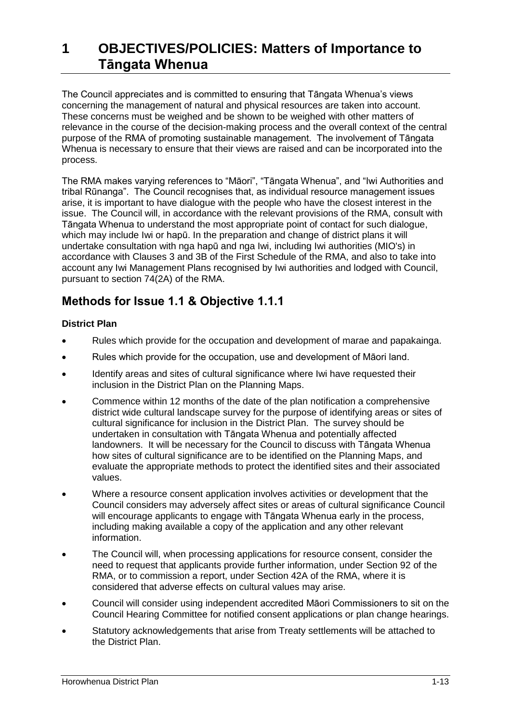The Council appreciates and is committed to ensuring that Tāngata Whenua's views concerning the management of natural and physical resources are taken into account. These concerns must be weighed and be shown to be weighed with other matters of relevance in the course of the decision-making process and the overall context of the central purpose of the RMA of promoting sustainable management. The involvement of Tāngata Whenua is necessary to ensure that their views are raised and can be incorporated into the process.

The RMA makes varying references to "Māori", "Tāngata Whenua", and "Iwi Authorities and tribal Rūnanga". The Council recognises that, as individual resource management issues arise, it is important to have dialogue with the people who have the closest interest in the issue. The Council will, in accordance with the relevant provisions of the RMA, consult with Tāngata Whenua to understand the most appropriate point of contact for such dialogue, which may include Iwi or hapū. In the preparation and change of district plans it will undertake consultation with nga hapū and nga Iwi, including Iwi authorities (MIO's) in accordance with Clauses 3 and 3B of the First Schedule of the RMA, and also to take into account any Iwi Management Plans recognised by Iwi authorities and lodged with Council, pursuant to section 74(2A) of the RMA.

## **Methods for Issue 1.1 & Objective 1.1.1**

### **District Plan**

- Rules which provide for the occupation and development of marae and papakainga.
- Rules which provide for the occupation, use and development of Māori land.
- Identify areas and sites of cultural significance where Iwi have requested their inclusion in the District Plan on the Planning Maps.
- Commence within 12 months of the date of the plan notification a comprehensive district wide cultural landscape survey for the purpose of identifying areas or sites of cultural significance for inclusion in the District Plan. The survey should be undertaken in consultation with Tāngata Whenua and potentially affected landowners. It will be necessary for the Council to discuss with Tāngata Whenua how sites of cultural significance are to be identified on the Planning Maps, and evaluate the appropriate methods to protect the identified sites and their associated values.
- Where a resource consent application involves activities or development that the Council considers may adversely affect sites or areas of cultural significance Council will encourage applicants to engage with Tāngata Whenua early in the process, including making available a copy of the application and any other relevant information.
- The Council will, when processing applications for resource consent, consider the need to request that applicants provide further information, under Section 92 of the RMA, or to commission a report, under Section 42A of the RMA, where it is considered that adverse effects on cultural values may arise.
- Council will consider using independent accredited Māori Commissioners to sit on the Council Hearing Committee for notified consent applications or plan change hearings.
- Statutory acknowledgements that arise from Treaty settlements will be attached to the District Plan.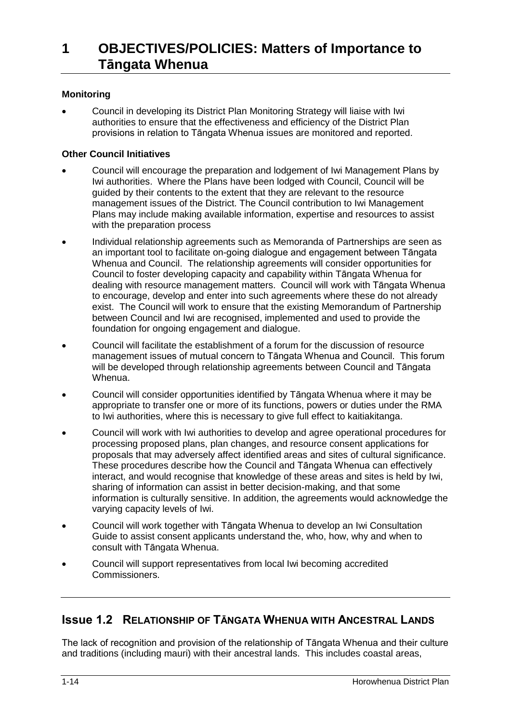#### **Monitoring**

 Council in developing its District Plan Monitoring Strategy will liaise with Iwi authorities to ensure that the effectiveness and efficiency of the District Plan provisions in relation to Tāngata Whenua issues are monitored and reported.

#### **Other Council Initiatives**

- Council will encourage the preparation and lodgement of Iwi Management Plans by Iwi authorities. Where the Plans have been lodged with Council, Council will be guided by their contents to the extent that they are relevant to the resource management issues of the District. The Council contribution to Iwi Management Plans may include making available information, expertise and resources to assist with the preparation process
- Individual relationship agreements such as Memoranda of Partnerships are seen as an important tool to facilitate on-going dialogue and engagement between Tāngata Whenua and Council. The relationship agreements will consider opportunities for Council to foster developing capacity and capability within Tāngata Whenua for dealing with resource management matters. Council will work with Tāngata Whenua to encourage, develop and enter into such agreements where these do not already exist. The Council will work to ensure that the existing Memorandum of Partnership between Council and Iwi are recognised, implemented and used to provide the foundation for ongoing engagement and dialogue.
- Council will facilitate the establishment of a forum for the discussion of resource management issues of mutual concern to Tāngata Whenua and Council. This forum will be developed through relationship agreements between Council and Tāngata Whenua.
- Council will consider opportunities identified by Tāngata Whenua where it may be appropriate to transfer one or more of its functions, powers or duties under the RMA to Iwi authorities, where this is necessary to give full effect to kaitiakitanga.
- Council will work with Iwi authorities to develop and agree operational procedures for processing proposed plans, plan changes, and resource consent applications for proposals that may adversely affect identified areas and sites of cultural significance. These procedures describe how the Council and Tāngata Whenua can effectively interact, and would recognise that knowledge of these areas and sites is held by Iwi, sharing of information can assist in better decision-making, and that some information is culturally sensitive. In addition, the agreements would acknowledge the varying capacity levels of Iwi.
- Council will work together with Tāngata Whenua to develop an Iwi Consultation Guide to assist consent applicants understand the, who, how, why and when to consult with Tāngata Whenua.
- Council will support representatives from local Iwi becoming accredited Commissioners.

### **Issue 1.2 RELATIONSHIP OF TĀNGATA WHENUA WITH ANCESTRAL LANDS**

The lack of recognition and provision of the relationship of Tāngata Whenua and their culture and traditions (including mauri) with their ancestral lands. This includes coastal areas,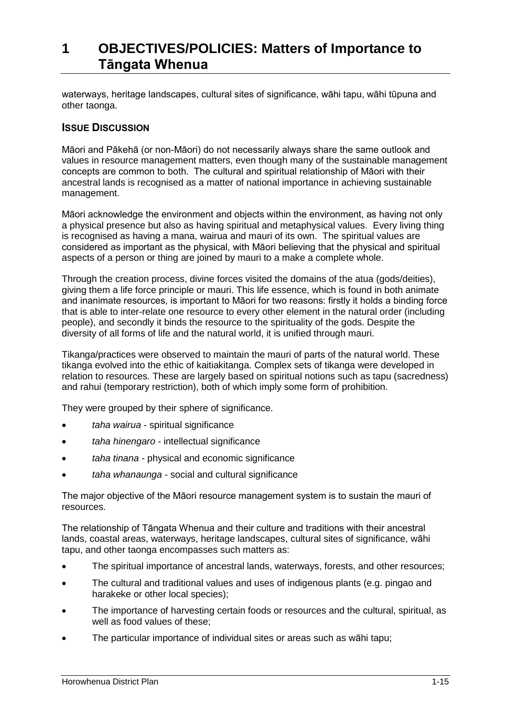waterways, heritage landscapes, cultural sites of significance, wāhi tapu, wāhi tūpuna and other taonga.

#### **ISSUE DISCUSSION**

Māori and Pākehā (or non-Māori) do not necessarily always share the same outlook and values in resource management matters, even though many of the sustainable management concepts are common to both. The cultural and spiritual relationship of Māori with their ancestral lands is recognised as a matter of national importance in achieving sustainable management.

Māori acknowledge the environment and objects within the environment, as having not only a physical presence but also as having spiritual and metaphysical values. Every living thing is recognised as having a mana, wairua and mauri of its own. The spiritual values are considered as important as the physical, with Māori believing that the physical and spiritual aspects of a person or thing are joined by mauri to a make a complete whole.

Through the creation process, divine forces visited the domains of the atua (gods/deities), giving them a life force principle or mauri. This life essence, which is found in both animate and inanimate resources, is important to Māori for two reasons: firstly it holds a binding force that is able to inter-relate one resource to every other element in the natural order (including people), and secondly it binds the resource to the spirituality of the gods. Despite the diversity of all forms of life and the natural world, it is unified through mauri.

Tikanga/practices were observed to maintain the mauri of parts of the natural world. These tikanga evolved into the ethic of kaitiakitanga. Complex sets of tikanga were developed in relation to resources. These are largely based on spiritual notions such as tapu (sacredness) and rahui (temporary restriction), both of which imply some form of prohibition.

They were grouped by their sphere of significance.

- *taha wairua*  spiritual significance
- *taha hinengaro*  intellectual significance
- *taha tinana*  physical and economic significance
- *taha whanaunga*  social and cultural significance

The major objective of the Māori resource management system is to sustain the mauri of resources.

The relationship of Tāngata Whenua and their culture and traditions with their ancestral lands, coastal areas, waterways, heritage landscapes, cultural sites of significance, wāhi tapu, and other taonga encompasses such matters as:

- The spiritual importance of ancestral lands, waterways, forests, and other resources;
- The cultural and traditional values and uses of indigenous plants (e.g. pingao and harakeke or other local species);
- The importance of harvesting certain foods or resources and the cultural, spiritual, as well as food values of these;
- The particular importance of individual sites or areas such as wāhi tapu;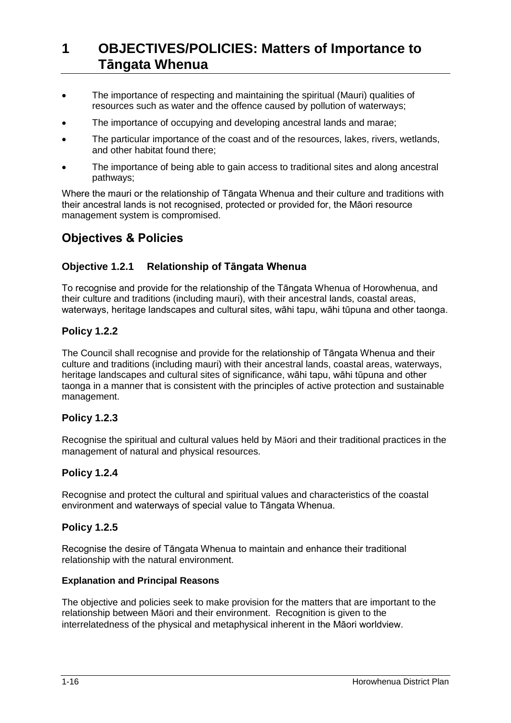- The importance of respecting and maintaining the spiritual (Mauri) qualities of resources such as water and the offence caused by pollution of waterways;
- The importance of occupying and developing ancestral lands and marae;
- The particular importance of the coast and of the resources, lakes, rivers, wetlands, and other habitat found there;
- The importance of being able to gain access to traditional sites and along ancestral pathways;

Where the mauri or the relationship of Tāngata Whenua and their culture and traditions with their ancestral lands is not recognised, protected or provided for, the Māori resource management system is compromised.

### **Objectives & Policies**

### **Objective 1.2.1 Relationship of Tāngata Whenua**

To recognise and provide for the relationship of the Tāngata Whenua of Horowhenua, and their culture and traditions (including mauri), with their ancestral lands, coastal areas, waterways, heritage landscapes and cultural sites, wāhi tapu, wāhi tūpuna and other taonga.

### **Policy 1.2.2**

The Council shall recognise and provide for the relationship of Tāngata Whenua and their culture and traditions (including mauri) with their ancestral lands, coastal areas, waterways, heritage landscapes and cultural sites of significance, wāhi tapu, wāhi tūpuna and other taonga in a manner that is consistent with the principles of active protection and sustainable management.

#### **Policy 1.2.3**

Recognise the spiritual and cultural values held by Māori and their traditional practices in the management of natural and physical resources.

#### **Policy 1.2.4**

Recognise and protect the cultural and spiritual values and characteristics of the coastal environment and waterways of special value to Tāngata Whenua.

#### **Policy 1.2.5**

Recognise the desire of Tāngata Whenua to maintain and enhance their traditional relationship with the natural environment.

#### **Explanation and Principal Reasons**

The objective and policies seek to make provision for the matters that are important to the relationship between Māori and their environment. Recognition is given to the interrelatedness of the physical and metaphysical inherent in the Māori worldview.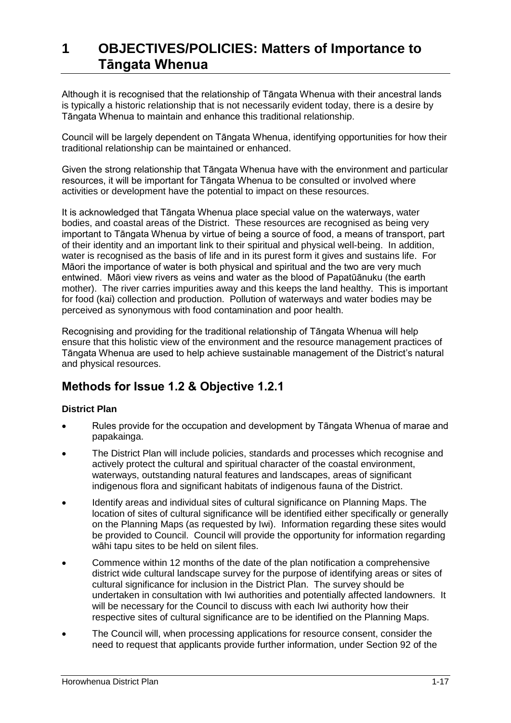Although it is recognised that the relationship of Tāngata Whenua with their ancestral lands is typically a historic relationship that is not necessarily evident today, there is a desire by Tāngata Whenua to maintain and enhance this traditional relationship.

Council will be largely dependent on Tāngata Whenua, identifying opportunities for how their traditional relationship can be maintained or enhanced.

Given the strong relationship that Tāngata Whenua have with the environment and particular resources, it will be important for Tāngata Whenua to be consulted or involved where activities or development have the potential to impact on these resources.

It is acknowledged that Tāngata Whenua place special value on the waterways, water bodies, and coastal areas of the District. These resources are recognised as being very important to Tāngata Whenua by virtue of being a source of food, a means of transport, part of their identity and an important link to their spiritual and physical well-being. In addition, water is recognised as the basis of life and in its purest form it gives and sustains life. For Māori the importance of water is both physical and spiritual and the two are very much entwined. Māori view rivers as veins and water as the blood of Papatūānuku (the earth mother). The river carries impurities away and this keeps the land healthy. This is important for food (kai) collection and production. Pollution of waterways and water bodies may be perceived as synonymous with food contamination and poor health.

Recognising and providing for the traditional relationship of Tāngata Whenua will help ensure that this holistic view of the environment and the resource management practices of Tāngata Whenua are used to help achieve sustainable management of the District's natural and physical resources.

### **Methods for Issue 1.2 & Objective 1.2.1**

#### **District Plan**

- Rules provide for the occupation and development by Tāngata Whenua of marae and papakainga.
- The District Plan will include policies, standards and processes which recognise and actively protect the cultural and spiritual character of the coastal environment, waterways, outstanding natural features and landscapes, areas of significant indigenous flora and significant habitats of indigenous fauna of the District.
- Identify areas and individual sites of cultural significance on Planning Maps. The location of sites of cultural significance will be identified either specifically or generally on the Planning Maps (as requested by Iwi). Information regarding these sites would be provided to Council. Council will provide the opportunity for information regarding wāhi tapu sites to be held on silent files.
- Commence within 12 months of the date of the plan notification a comprehensive district wide cultural landscape survey for the purpose of identifying areas or sites of cultural significance for inclusion in the District Plan. The survey should be undertaken in consultation with Iwi authorities and potentially affected landowners. It will be necessary for the Council to discuss with each Iwi authority how their respective sites of cultural significance are to be identified on the Planning Maps.
- The Council will, when processing applications for resource consent, consider the need to request that applicants provide further information, under Section 92 of the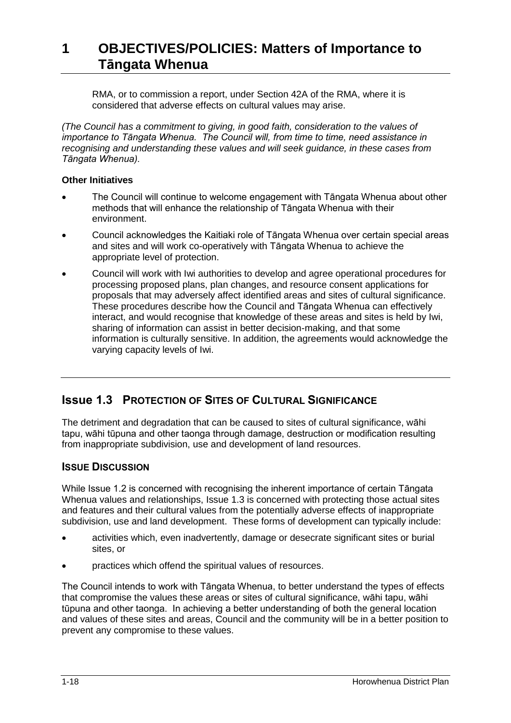RMA, or to commission a report, under Section 42A of the RMA, where it is considered that adverse effects on cultural values may arise.

*(The Council has a commitment to giving, in good faith, consideration to the values of importance to Tāngata Whenua. The Council will, from time to time, need assistance in recognising and understanding these values and will seek guidance, in these cases from Tāngata Whenua).*

#### **Other Initiatives**

- The Council will continue to welcome engagement with Tāngata Whenua about other methods that will enhance the relationship of Tāngata Whenua with their environment.
- Council acknowledges the Kaitiaki role of Tāngata Whenua over certain special areas and sites and will work co-operatively with Tāngata Whenua to achieve the appropriate level of protection.
- Council will work with Iwi authorities to develop and agree operational procedures for processing proposed plans, plan changes, and resource consent applications for proposals that may adversely affect identified areas and sites of cultural significance. These procedures describe how the Council and Tāngata Whenua can effectively interact, and would recognise that knowledge of these areas and sites is held by Iwi, sharing of information can assist in better decision-making, and that some information is culturally sensitive. In addition, the agreements would acknowledge the varying capacity levels of Iwi.

### **Issue 1.3 PROTECTION OF SITES OF CULTURAL SIGNIFICANCE**

The detriment and degradation that can be caused to sites of cultural significance, wāhi tapu, wāhi tūpuna and other taonga through damage, destruction or modification resulting from inappropriate subdivision, use and development of land resources.

### **ISSUE DISCUSSION**

While Issue 1.2 is concerned with recognising the inherent importance of certain Tāngata Whenua values and relationships, Issue 1.3 is concerned with protecting those actual sites and features and their cultural values from the potentially adverse effects of inappropriate subdivision, use and land development. These forms of development can typically include:

- activities which, even inadvertently, damage or desecrate significant sites or burial sites, or
- practices which offend the spiritual values of resources.

The Council intends to work with Tāngata Whenua, to better understand the types of effects that compromise the values these areas or sites of cultural significance, wāhi tapu, wāhi tūpuna and other taonga. In achieving a better understanding of both the general location and values of these sites and areas, Council and the community will be in a better position to prevent any compromise to these values.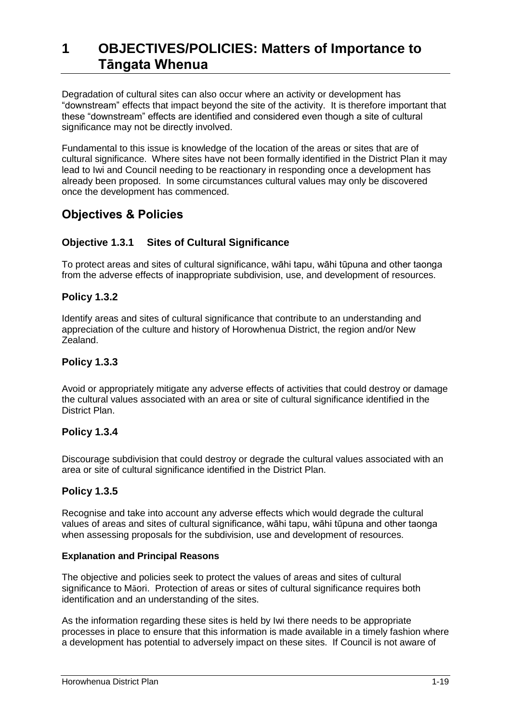Degradation of cultural sites can also occur where an activity or development has "downstream" effects that impact beyond the site of the activity. It is therefore important that these "downstream" effects are identified and considered even though a site of cultural significance may not be directly involved.

Fundamental to this issue is knowledge of the location of the areas or sites that are of cultural significance. Where sites have not been formally identified in the District Plan it may lead to Iwi and Council needing to be reactionary in responding once a development has already been proposed. In some circumstances cultural values may only be discovered once the development has commenced.

### **Objectives & Policies**

### **Objective 1.3.1 Sites of Cultural Significance**

To protect areas and sites of cultural significance, wāhi tapu, wāhi tūpuna and other taonga from the adverse effects of inappropriate subdivision, use, and development of resources.

### **Policy 1.3.2**

Identify areas and sites of cultural significance that contribute to an understanding and appreciation of the culture and history of Horowhenua District, the region and/or New Zealand.

### **Policy 1.3.3**

Avoid or appropriately mitigate any adverse effects of activities that could destroy or damage the cultural values associated with an area or site of cultural significance identified in the District Plan.

### **Policy 1.3.4**

Discourage subdivision that could destroy or degrade the cultural values associated with an area or site of cultural significance identified in the District Plan.

### **Policy 1.3.5**

Recognise and take into account any adverse effects which would degrade the cultural values of areas and sites of cultural significance, wāhi tapu, wāhi tūpuna and other taonga when assessing proposals for the subdivision, use and development of resources.

#### **Explanation and Principal Reasons**

The objective and policies seek to protect the values of areas and sites of cultural significance to Māori. Protection of areas or sites of cultural significance requires both identification and an understanding of the sites.

As the information regarding these sites is held by Iwi there needs to be appropriate processes in place to ensure that this information is made available in a timely fashion where a development has potential to adversely impact on these sites. If Council is not aware of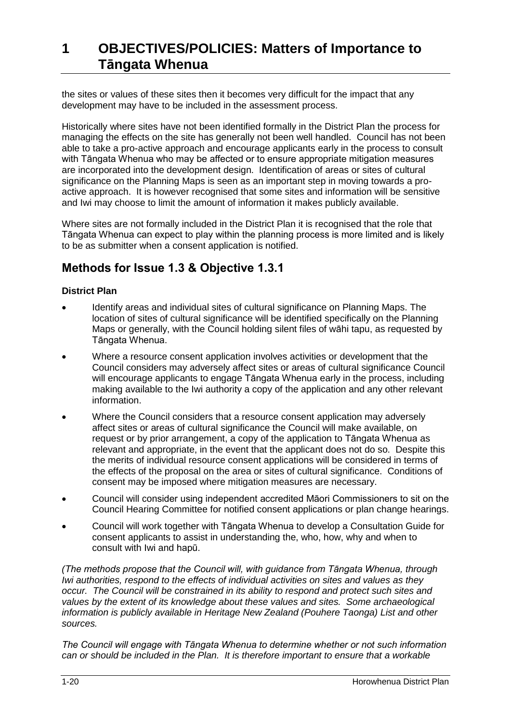the sites or values of these sites then it becomes very difficult for the impact that any development may have to be included in the assessment process.

Historically where sites have not been identified formally in the District Plan the process for managing the effects on the site has generally not been well handled. Council has not been able to take a pro-active approach and encourage applicants early in the process to consult with Tāngata Whenua who may be affected or to ensure appropriate mitigation measures are incorporated into the development design. Identification of areas or sites of cultural significance on the Planning Maps is seen as an important step in moving towards a proactive approach. It is however recognised that some sites and information will be sensitive and Iwi may choose to limit the amount of information it makes publicly available.

Where sites are not formally included in the District Plan it is recognised that the role that Tāngata Whenua can expect to play within the planning process is more limited and is likely to be as submitter when a consent application is notified.

### **Methods for Issue 1.3 & Objective 1.3.1**

#### **District Plan**

- Identify areas and individual sites of cultural significance on Planning Maps. The location of sites of cultural significance will be identified specifically on the Planning Maps or generally, with the Council holding silent files of wāhi tapu, as requested by Tāngata Whenua.
- Where a resource consent application involves activities or development that the Council considers may adversely affect sites or areas of cultural significance Council will encourage applicants to engage Tāngata Whenua early in the process, including making available to the Iwi authority a copy of the application and any other relevant information.
- Where the Council considers that a resource consent application may adversely affect sites or areas of cultural significance the Council will make available, on request or by prior arrangement, a copy of the application to Tāngata Whenua as relevant and appropriate, in the event that the applicant does not do so. Despite this the merits of individual resource consent applications will be considered in terms of the effects of the proposal on the area or sites of cultural significance. Conditions of consent may be imposed where mitigation measures are necessary.
- Council will consider using independent accredited Māori Commissioners to sit on the Council Hearing Committee for notified consent applications or plan change hearings.
- Council will work together with Tāngata Whenua to develop a Consultation Guide for consent applicants to assist in understanding the, who, how, why and when to consult with Iwi and hapū.

*(The methods propose that the Council will, with guidance from Tāngata Whenua, through Iwi authorities, respond to the effects of individual activities on sites and values as they occur. The Council will be constrained in its ability to respond and protect such sites and values by the extent of its knowledge about these values and sites. Some archaeological information is publicly available in Heritage New Zealand (Pouhere Taonga) List and other sources.* 

*The Council will engage with Tāngata Whenua to determine whether or not such information can or should be included in the Plan. It is therefore important to ensure that a workable*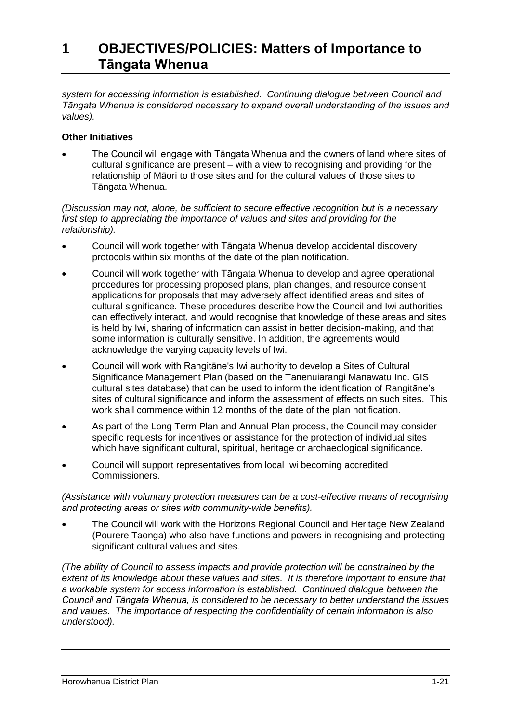*system for accessing information is established. Continuing dialogue between Council and Tāngata Whenua is considered necessary to expand overall understanding of the issues and values).*

#### **Other Initiatives**

 The Council will engage with Tāngata Whenua and the owners of land where sites of cultural significance are present – with a view to recognising and providing for the relationship of Māori to those sites and for the cultural values of those sites to Tāngata Whenua.

*(Discussion may not, alone, be sufficient to secure effective recognition but is a necessary first step to appreciating the importance of values and sites and providing for the relationship).*

- Council will work together with Tāngata Whenua develop accidental discovery protocols within six months of the date of the plan notification.
- Council will work together with Tāngata Whenua to develop and agree operational procedures for processing proposed plans, plan changes, and resource consent applications for proposals that may adversely affect identified areas and sites of cultural significance. These procedures describe how the Council and Iwi authorities can effectively interact, and would recognise that knowledge of these areas and sites is held by Iwi, sharing of information can assist in better decision-making, and that some information is culturally sensitive. In addition, the agreements would acknowledge the varying capacity levels of Iwi.
- Council will work with Rangitāne's Iwi authority to develop a Sites of Cultural Significance Management Plan (based on the Tanenuiarangi Manawatu Inc. GIS cultural sites database) that can be used to inform the identification of Rangitāne's sites of cultural significance and inform the assessment of effects on such sites. This work shall commence within 12 months of the date of the plan notification.
- As part of the Long Term Plan and Annual Plan process, the Council may consider specific requests for incentives or assistance for the protection of individual sites which have significant cultural, spiritual, heritage or archaeological significance.
- Council will support representatives from local Iwi becoming accredited Commissioners.

*(Assistance with voluntary protection measures can be a cost-effective means of recognising and protecting areas or sites with community-wide benefits).*

 The Council will work with the Horizons Regional Council and Heritage New Zealand (Pourere Taonga) who also have functions and powers in recognising and protecting significant cultural values and sites.

*(The ability of Council to assess impacts and provide protection will be constrained by the extent of its knowledge about these values and sites. It is therefore important to ensure that a workable system for access information is established. Continued dialogue between the Council and Tāngata Whenua, is considered to be necessary to better understand the issues and values. The importance of respecting the confidentiality of certain information is also understood).*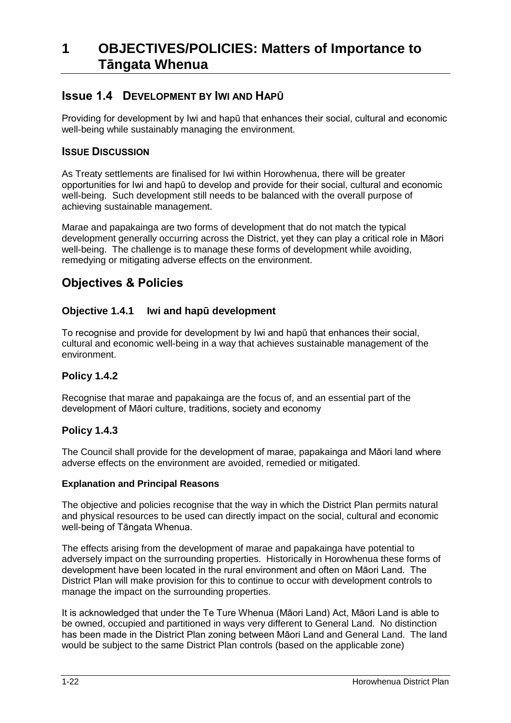### **Issue 1.4 DEVELOPMENT BY IWI AND HAPŪ**

Providing for development by Iwi and hapū that enhances their social, cultural and economic well-being while sustainably managing the environment.

### **ISSUE DISCUSSION**

As Treaty settlements are finalised for Iwi within Horowhenua, there will be greater opportunities for Iwi and hapū to develop and provide for their social, cultural and economic well-being. Such development still needs to be balanced with the overall purpose of achieving sustainable management.

Marae and papakainga are two forms of development that do not match the typical development generally occurring across the District, yet they can play a critical role in Māori well-being. The challenge is to manage these forms of development while avoiding, remedying or mitigating adverse effects on the environment.

### **Objectives & Policies**

### **Objective 1.4.1 Iwi and hapū development**

To recognise and provide for development by Iwi and hapū that enhances their social, cultural and economic well-being in a way that achieves sustainable management of the environment.

#### **Policy 1.4.2**

Recognise that marae and papakainga are the focus of, and an essential part of the development of Māori culture, traditions, society and economy

#### **Policy 1.4.3**

The Council shall provide for the development of marae, papakainga and Māori land where adverse effects on the environment are avoided, remedied or mitigated.

#### **Explanation and Principal Reasons**

The objective and policies recognise that the way in which the District Plan permits natural and physical resources to be used can directly impact on the social, cultural and economic well-being of Tāngata Whenua.

The effects arising from the development of marae and papakainga have potential to adversely impact on the surrounding properties. Historically in Horowhenua these forms of development have been located in the rural environment and often on Māori Land. The District Plan will make provision for this to continue to occur with development controls to manage the impact on the surrounding properties.

It is acknowledged that under the Te Ture Whenua (Māori Land) Act, Māori Land is able to be owned, occupied and partitioned in ways very different to General Land. No distinction has been made in the District Plan zoning between Māori Land and General Land. The land would be subject to the same District Plan controls (based on the applicable zone)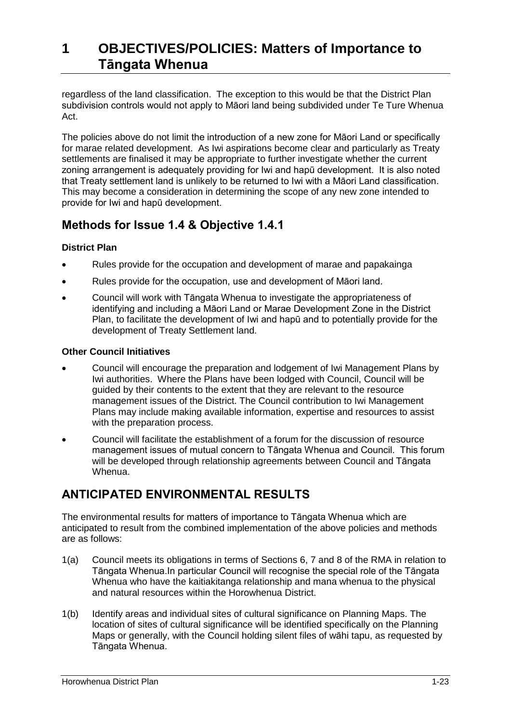regardless of the land classification. The exception to this would be that the District Plan subdivision controls would not apply to Māori land being subdivided under Te Ture Whenua Act.

The policies above do not limit the introduction of a new zone for Māori Land or specifically for marae related development. As Iwi aspirations become clear and particularly as Treaty settlements are finalised it may be appropriate to further investigate whether the current zoning arrangement is adequately providing for Iwi and hapū development. It is also noted that Treaty settlement land is unlikely to be returned to Iwi with a Māori Land classification. This may become a consideration in determining the scope of any new zone intended to provide for Iwi and hapū development.

### **Methods for Issue 1.4 & Objective 1.4.1**

### **District Plan**

- Rules provide for the occupation and development of marae and papakainga
- Rules provide for the occupation, use and development of Māori land.
- Council will work with Tāngata Whenua to investigate the appropriateness of identifying and including a Māori Land or Marae Development Zone in the District Plan, to facilitate the development of Iwi and hapū and to potentially provide for the development of Treaty Settlement land.

#### **Other Council Initiatives**

- Council will encourage the preparation and lodgement of Iwi Management Plans by Iwi authorities. Where the Plans have been lodged with Council, Council will be guided by their contents to the extent that they are relevant to the resource management issues of the District. The Council contribution to Iwi Management Plans may include making available information, expertise and resources to assist with the preparation process.
- Council will facilitate the establishment of a forum for the discussion of resource management issues of mutual concern to Tāngata Whenua and Council. This forum will be developed through relationship agreements between Council and Tāngata Whenua.

## **ANTICIPATED ENVIRONMENTAL RESULTS**

The environmental results for matters of importance to Tāngata Whenua which are anticipated to result from the combined implementation of the above policies and methods are as follows:

- 1(a) Council meets its obligations in terms of Sections 6, 7 and 8 of the RMA in relation to Tāngata Whenua.In particular Council will recognise the special role of the Tāngata Whenua who have the kaitiakitanga relationship and mana whenua to the physical and natural resources within the Horowhenua District.
- 1(b) Identify areas and individual sites of cultural significance on Planning Maps. The location of sites of cultural significance will be identified specifically on the Planning Maps or generally, with the Council holding silent files of wāhi tapu, as requested by Tāngata Whenua.